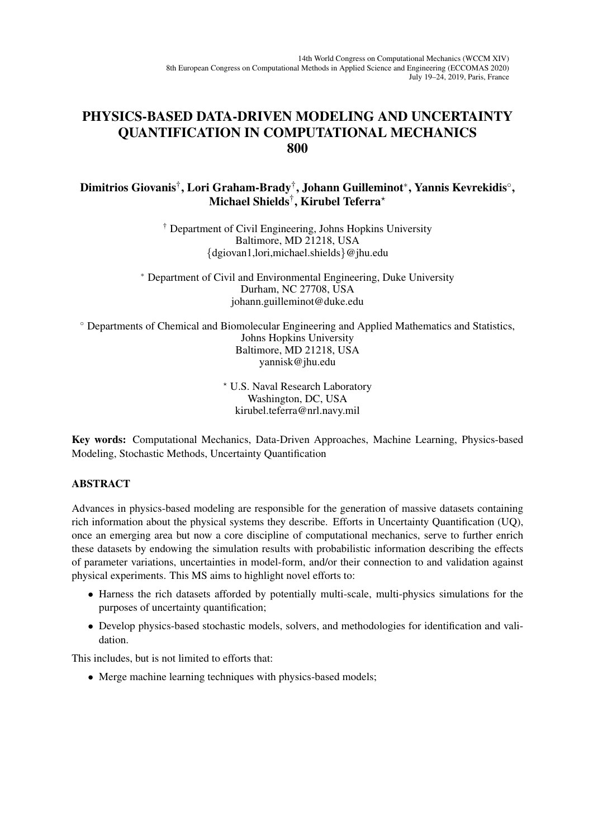## PHYSICS-BASED DATA-DRIVEN MODELING AND UNCERTAINTY QUANTIFICATION IN COMPUTATIONAL MECHANICS 800

Dimitrios Giovanis†́, Lori Graham-Brady†́, Johann Guilleminot\*, Yannis Kevrekidis $^{\circ}$ , Michael Shields $^\dagger,$  Kirubel Teferra $^\star$ 

> † Department of Civil Engineering, Johns Hopkins University Baltimore, MD 21218, USA {dgiovan1,lori,michael.shields}@jhu.edu

<sup>∗</sup> Department of Civil and Environmental Engineering, Duke University Durham, NC 27708, USA johann.guilleminot@duke.edu

◦ Departments of Chemical and Biomolecular Engineering and Applied Mathematics and Statistics, Johns Hopkins University Baltimore, MD 21218, USA yannisk@jhu.edu

> ? U.S. Naval Research Laboratory Washington, DC, USA kirubel.teferra@nrl.navy.mil

Key words: Computational Mechanics, Data-Driven Approaches, Machine Learning, Physics-based Modeling, Stochastic Methods, Uncertainty Quantification

## ABSTRACT

Advances in physics-based modeling are responsible for the generation of massive datasets containing rich information about the physical systems they describe. Efforts in Uncertainty Quantification (UQ), once an emerging area but now a core discipline of computational mechanics, serve to further enrich these datasets by endowing the simulation results with probabilistic information describing the effects of parameter variations, uncertainties in model-form, and/or their connection to and validation against physical experiments. This MS aims to highlight novel efforts to:

- Harness the rich datasets afforded by potentially multi-scale, multi-physics simulations for the purposes of uncertainty quantification;
- Develop physics-based stochastic models, solvers, and methodologies for identification and validation.

This includes, but is not limited to efforts that:

• Merge machine learning techniques with physics-based models;